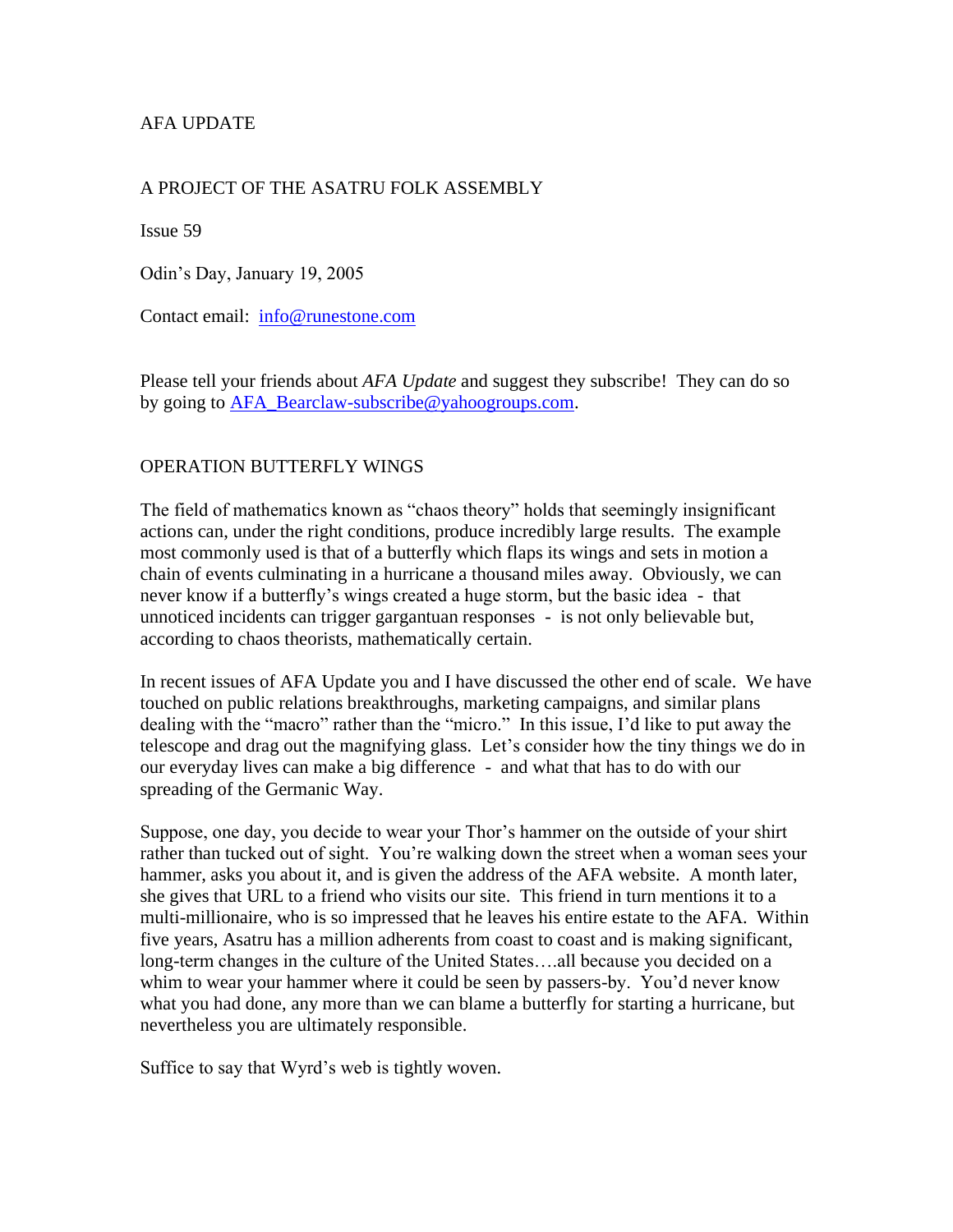## AFA UPDATE

## A PROJECT OF THE ASATRU FOLK ASSEMBLY

Issue 59

Odin's Day, January 19, 2005

Contact email: [info@runestone.com](mailto:info@runestone.com)

Please tell your friends about *AFA Update* and suggest they subscribe! They can do so by going to [AFA\\_Bearclaw-subscribe@yahoogroups.com.](mailto:AFA_Bearclaw-subscribe@yahoogroups.com)

## OPERATION BUTTERFLY WINGS

The field of mathematics known as "chaos theory" holds that seemingly insignificant actions can, under the right conditions, produce incredibly large results. The example most commonly used is that of a butterfly which flaps its wings and sets in motion a chain of events culminating in a hurricane a thousand miles away. Obviously, we can never know if a butterfly's wings created a huge storm, but the basic idea - that unnoticed incidents can trigger gargantuan responses - is not only believable but, according to chaos theorists, mathematically certain.

In recent issues of AFA Update you and I have discussed the other end of scale. We have touched on public relations breakthroughs, marketing campaigns, and similar plans dealing with the "macro" rather than the "micro." In this issue, I'd like to put away the telescope and drag out the magnifying glass. Let's consider how the tiny things we do in our everyday lives can make a big difference - and what that has to do with our spreading of the Germanic Way.

Suppose, one day, you decide to wear your Thor's hammer on the outside of your shirt rather than tucked out of sight. You're walking down the street when a woman sees your hammer, asks you about it, and is given the address of the AFA website. A month later, she gives that URL to a friend who visits our site. This friend in turn mentions it to a multi-millionaire, who is so impressed that he leaves his entire estate to the AFA. Within five years, Asatru has a million adherents from coast to coast and is making significant, long-term changes in the culture of the United States….all because you decided on a whim to wear your hammer where it could be seen by passers-by. You'd never know what you had done, any more than we can blame a butterfly for starting a hurricane, but nevertheless you are ultimately responsible.

Suffice to say that Wyrd's web is tightly woven.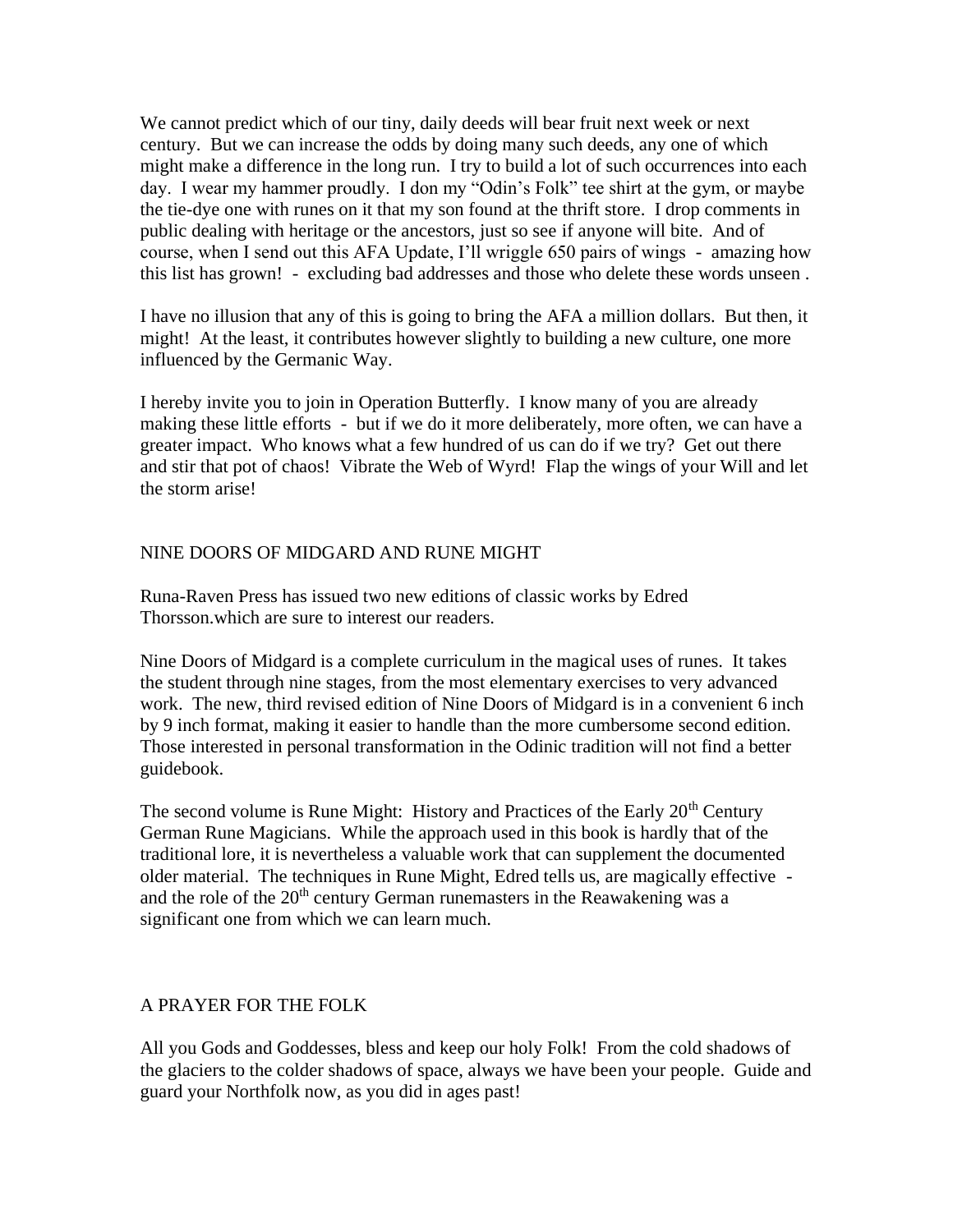We cannot predict which of our tiny, daily deeds will bear fruit next week or next century. But we can increase the odds by doing many such deeds, any one of which might make a difference in the long run. I try to build a lot of such occurrences into each day. I wear my hammer proudly. I don my "Odin's Folk" tee shirt at the gym, or maybe the tie-dye one with runes on it that my son found at the thrift store. I drop comments in public dealing with heritage or the ancestors, just so see if anyone will bite. And of course, when I send out this AFA Update, I'll wriggle 650 pairs of wings - amazing how this list has grown! - excluding bad addresses and those who delete these words unseen .

I have no illusion that any of this is going to bring the AFA a million dollars. But then, it might! At the least, it contributes however slightly to building a new culture, one more influenced by the Germanic Way.

I hereby invite you to join in Operation Butterfly. I know many of you are already making these little efforts - but if we do it more deliberately, more often, we can have a greater impact. Who knows what a few hundred of us can do if we try? Get out there and stir that pot of chaos! Vibrate the Web of Wyrd! Flap the wings of your Will and let the storm arise!

## NINE DOORS OF MIDGARD AND RUNE MIGHT

Runa-Raven Press has issued two new editions of classic works by Edred Thorsson.which are sure to interest our readers.

Nine Doors of Midgard is a complete curriculum in the magical uses of runes. It takes the student through nine stages, from the most elementary exercises to very advanced work. The new, third revised edition of Nine Doors of Midgard is in a convenient 6 inch by 9 inch format, making it easier to handle than the more cumbersome second edition. Those interested in personal transformation in the Odinic tradition will not find a better guidebook.

The second volume is Rune Might: History and Practices of the Early  $20<sup>th</sup>$  Century German Rune Magicians. While the approach used in this book is hardly that of the traditional lore, it is nevertheless a valuable work that can supplement the documented older material. The techniques in Rune Might, Edred tells us, are magically effective and the role of the  $20<sup>th</sup>$  century German runemasters in the Reawakening was a significant one from which we can learn much.

## A PRAYER FOR THE FOLK

All you Gods and Goddesses, bless and keep our holy Folk! From the cold shadows of the glaciers to the colder shadows of space, always we have been your people. Guide and guard your Northfolk now, as you did in ages past!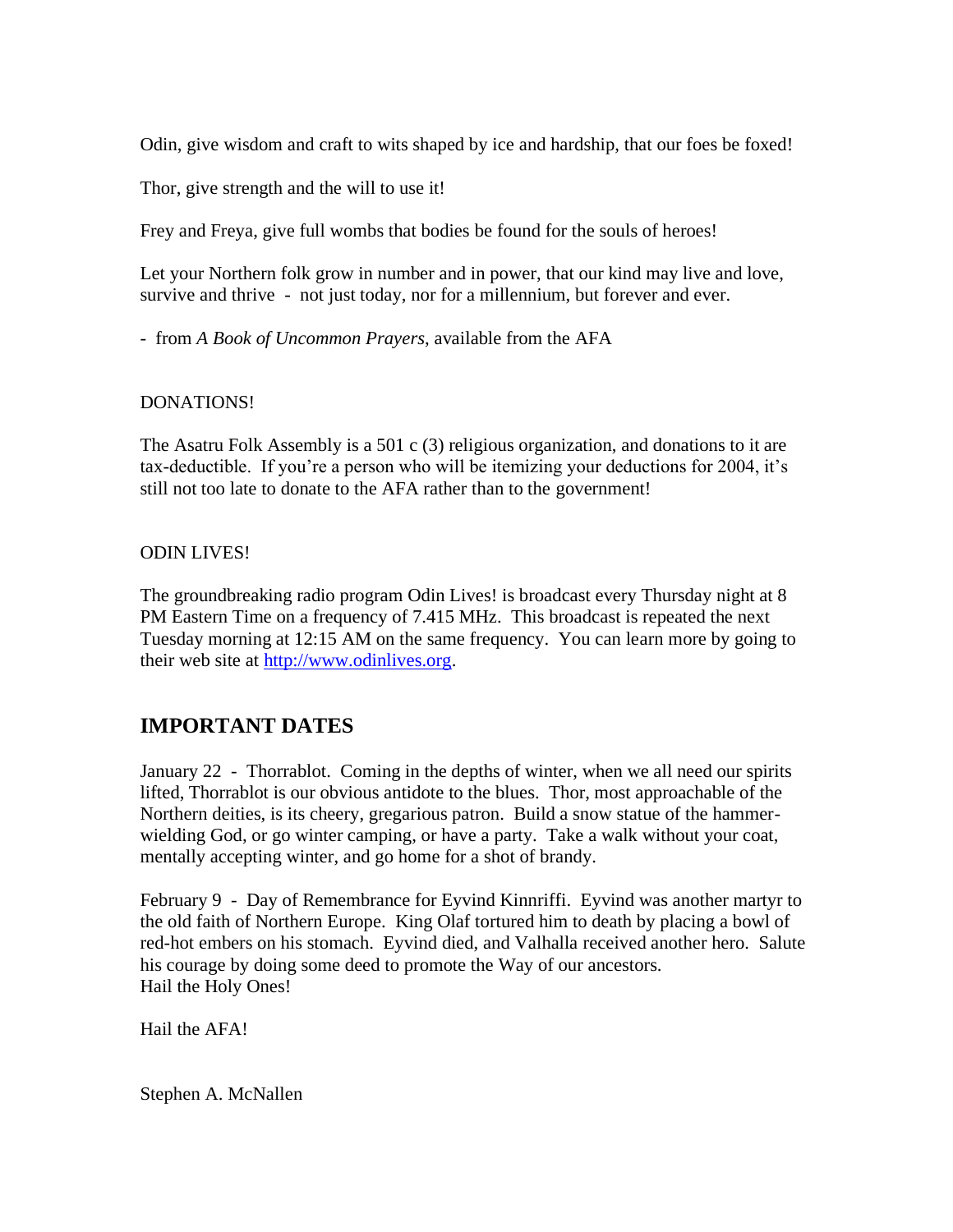Odin, give wisdom and craft to wits shaped by ice and hardship, that our foes be foxed!

Thor, give strength and the will to use it!

Frey and Freya, give full wombs that bodies be found for the souls of heroes!

Let your Northern folk grow in number and in power, that our kind may live and love, survive and thrive - not just today, nor for a millennium, but forever and ever.

- from *A Book of Uncommon Prayers*, available from the AFA

## DONATIONS!

The Asatru Folk Assembly is a 501 c (3) religious organization, and donations to it are tax-deductible. If you're a person who will be itemizing your deductions for 2004, it's still not too late to donate to the AFA rather than to the government!

## ODIN LIVES!

The groundbreaking radio program Odin Lives! is broadcast every Thursday night at 8 PM Eastern Time on a frequency of 7.415 MHz. This broadcast is repeated the next Tuesday morning at 12:15 AM on the same frequency. You can learn more by going to their web site at [http://www.odinlives.org.](http://www.odinlives.org/)

# **IMPORTANT DATES**

January 22 - Thorrablot. Coming in the depths of winter, when we all need our spirits lifted, Thorrablot is our obvious antidote to the blues. Thor, most approachable of the Northern deities, is its cheery, gregarious patron. Build a snow statue of the hammerwielding God, or go winter camping, or have a party. Take a walk without your coat, mentally accepting winter, and go home for a shot of brandy.

February 9 - Day of Remembrance for Eyvind Kinnriffi. Eyvind was another martyr to the old faith of Northern Europe. King Olaf tortured him to death by placing a bowl of red-hot embers on his stomach. Eyvind died, and Valhalla received another hero. Salute his courage by doing some deed to promote the Way of our ancestors. Hail the Holy Ones!

Hail the AFA!

Stephen A. McNallen